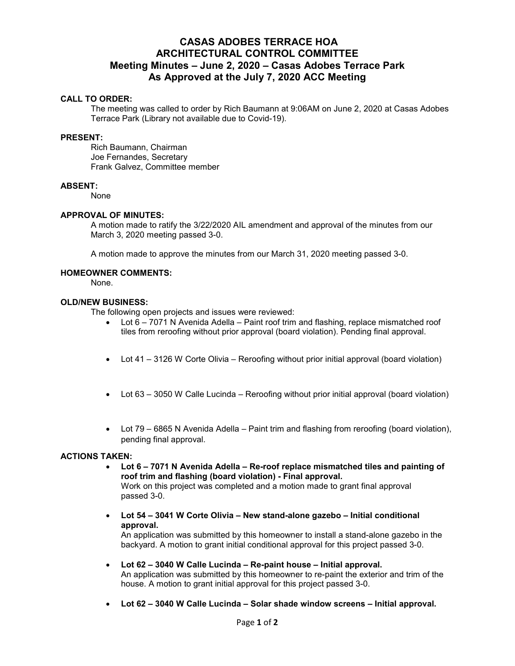# **CASAS ADOBES TERRACE HOA ARCHITECTURAL CONTROL COMMITTEE Meeting Minutes – June 2, 2020 – Casas Adobes Terrace Park As Approved at the July 7, 2020 ACC Meeting**

## **CALL TO ORDER:**

The meeting was called to order by Rich Baumann at 9:06AM on June 2, 2020 at Casas Adobes Terrace Park (Library not available due to Covid-19).

#### **PRESENT:**

Rich Baumann, Chairman Joe Fernandes, Secretary Frank Galvez, Committee member

#### **ABSENT:**

None

#### **APPROVAL OF MINUTES:**

A motion made to ratify the 3/22/2020 AIL amendment and approval of the minutes from our March 3, 2020 meeting passed 3-0.

A motion made to approve the minutes from our March 31, 2020 meeting passed 3-0.

#### **HOMEOWNER COMMENTS:**

None.

## **OLD/NEW BUSINESS:**

The following open projects and issues were reviewed:

- Lot 6 7071 N Avenida Adella Paint roof trim and flashing, replace mismatched roof tiles from reroofing without prior approval (board violation). Pending final approval.
- Lot 41 3126 W Corte Olivia Reroofing without prior initial approval (board violation)
- Lot 63 3050 W Calle Lucinda Reroofing without prior initial approval (board violation)
- Lot 79 6865 N Avenida Adella Paint trim and flashing from reroofing (board violation), pending final approval.

## **ACTIONS TAKEN:**

- **Lot 6 7071 N Avenida Adella Re-roof replace mismatched tiles and painting of roof trim and flashing (board violation) - Final approval.**  Work on this project was completed and a motion made to grant final approval passed 3-0.
- **Lot 54 3041 W Corte Olivia New stand-alone gazebo Initial conditional approval.**

An application was submitted by this homeowner to install a stand-alone gazebo in the backyard. A motion to grant initial conditional approval for this project passed 3-0.

- **Lot 62 3040 W Calle Lucinda Re-paint house Initial approval.**  An application was submitted by this homeowner to re-paint the exterior and trim of the house. A motion to grant initial approval for this project passed 3-0.
- **Lot 62 3040 W Calle Lucinda Solar shade window screens Initial approval.**